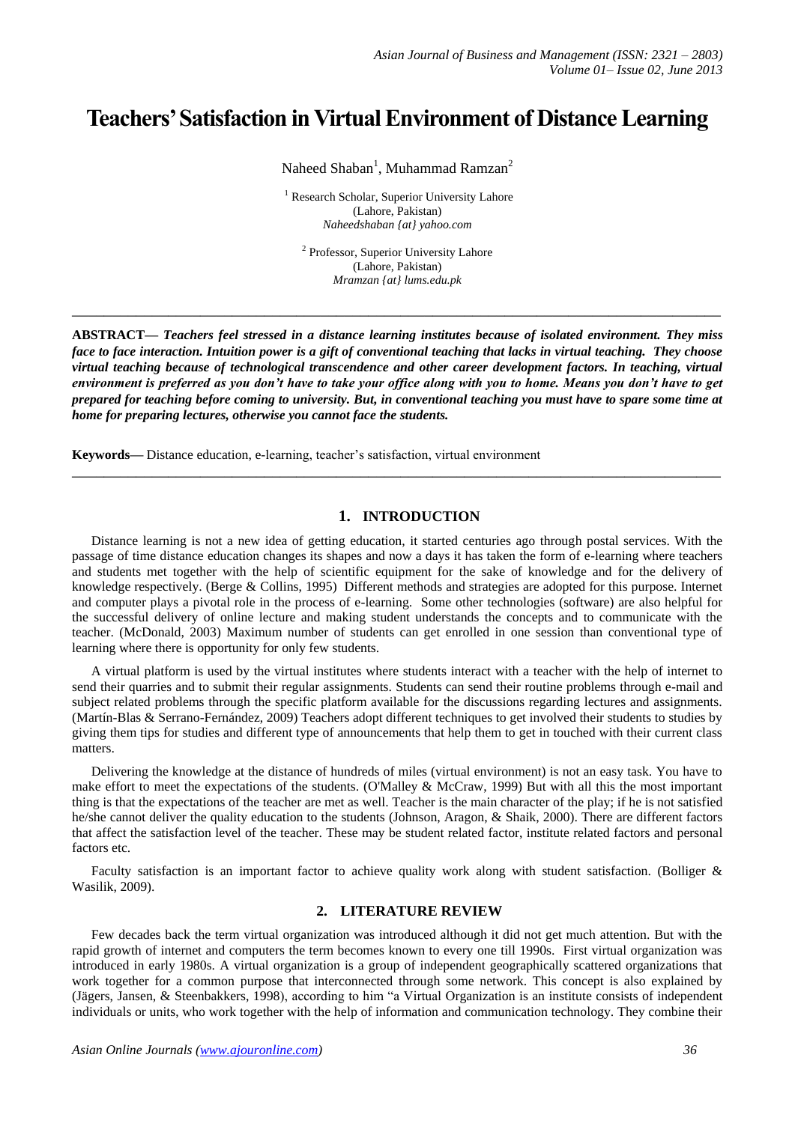# **Teachers' Satisfaction in Virtual Environment of Distance Learning**

Naheed Shaban<sup>1</sup>, Muhammad Ramzan<sup>2</sup>

<sup>1</sup> Research Scholar, Superior University Lahore (Lahore, Pakistan) *Naheedshaban {at} yahoo.com*

<sup>2</sup> Professor, Superior University Lahore (Lahore, Pakistan) *Mramzan {at} lums.edu.pk* 

**\_\_\_\_\_\_\_\_\_\_\_\_\_\_\_\_\_\_\_\_\_\_\_\_\_\_\_\_\_\_\_\_\_\_\_\_\_\_\_\_\_\_\_\_\_\_\_\_\_\_\_\_\_\_\_\_\_\_\_\_\_\_\_\_\_\_\_\_\_\_\_\_\_\_\_\_\_\_\_\_\_**

**ABSTRACT—** *Teachers feel stressed in a distance learning institutes because of isolated environment. They miss face to face interaction. Intuition power is a gift of conventional teaching that lacks in virtual teaching. They choose virtual teaching because of technological transcendence and other career development factors. In teaching, virtual environment is preferred as you don't have to take your office along with you to home. Means you don't have to get prepared for teaching before coming to university. But, in conventional teaching you must have to spare some time at home for preparing lectures, otherwise you cannot face the students.*

**\_\_\_\_\_\_\_\_\_\_\_\_\_\_\_\_\_\_\_\_\_\_\_\_\_\_\_\_\_\_\_\_\_\_\_\_\_\_\_\_\_\_\_\_\_\_\_\_\_\_\_\_\_\_\_\_\_\_\_\_\_\_\_\_\_\_\_\_\_\_\_\_\_\_\_\_\_\_\_\_\_**

**Keywords—** Distance education, e-learning, teacher's satisfaction, virtual environment

## **1. INTRODUCTION**

Distance learning is not a new idea of getting education, it started centuries ago through postal services. With the passage of time distance education changes its shapes and now a days it has taken the form of e-learning where teachers and students met together with the help of scientific equipment for the sake of knowledge and for the delivery of knowledge respectively. (Berge & Collins, 1995) Different methods and strategies are adopted for this purpose. Internet and computer plays a pivotal role in the process of e-learning. Some other technologies (software) are also helpful for the successful delivery of online lecture and making student understands the concepts and to communicate with the teacher. (McDonald, 2003) Maximum number of students can get enrolled in one session than conventional type of learning where there is opportunity for only few students.

A virtual platform is used by the virtual institutes where students interact with a teacher with the help of internet to send their quarries and to submit their regular assignments. Students can send their routine problems through e-mail and subject related problems through the specific platform available for the discussions regarding lectures and assignments. (Martín-Blas & Serrano-Fernández, 2009) Teachers adopt different techniques to get involved their students to studies by giving them tips for studies and different type of announcements that help them to get in touched with their current class matters.

Delivering the knowledge at the distance of hundreds of miles (virtual environment) is not an easy task. You have to make effort to meet the expectations of the students. (O'Malley & McCraw, 1999) But with all this the most important thing is that the expectations of the teacher are met as well. Teacher is the main character of the play; if he is not satisfied he/she cannot deliver the quality education to the students (Johnson, Aragon, & Shaik, 2000). There are different factors that affect the satisfaction level of the teacher. These may be student related factor, institute related factors and personal factors etc.

Faculty satisfaction is an important factor to achieve quality work along with student satisfaction. (Bolliger & Wasilik, 2009).

# **2. LITERATURE REVIEW**

Few decades back the term virtual organization was introduced although it did not get much attention. But with the rapid growth of internet and computers the term becomes known to every one till 1990s. First virtual organization was introduced in early 1980s. A virtual organization is a group of independent geographically scattered organizations that work together for a common purpose that interconnected through some network. This concept is also explained by (Jägers, Jansen, & Steenbakkers, 1998), according to him "a Virtual Organization is an institute consists of independent individuals or units, who work together with the help of information and communication technology. They combine their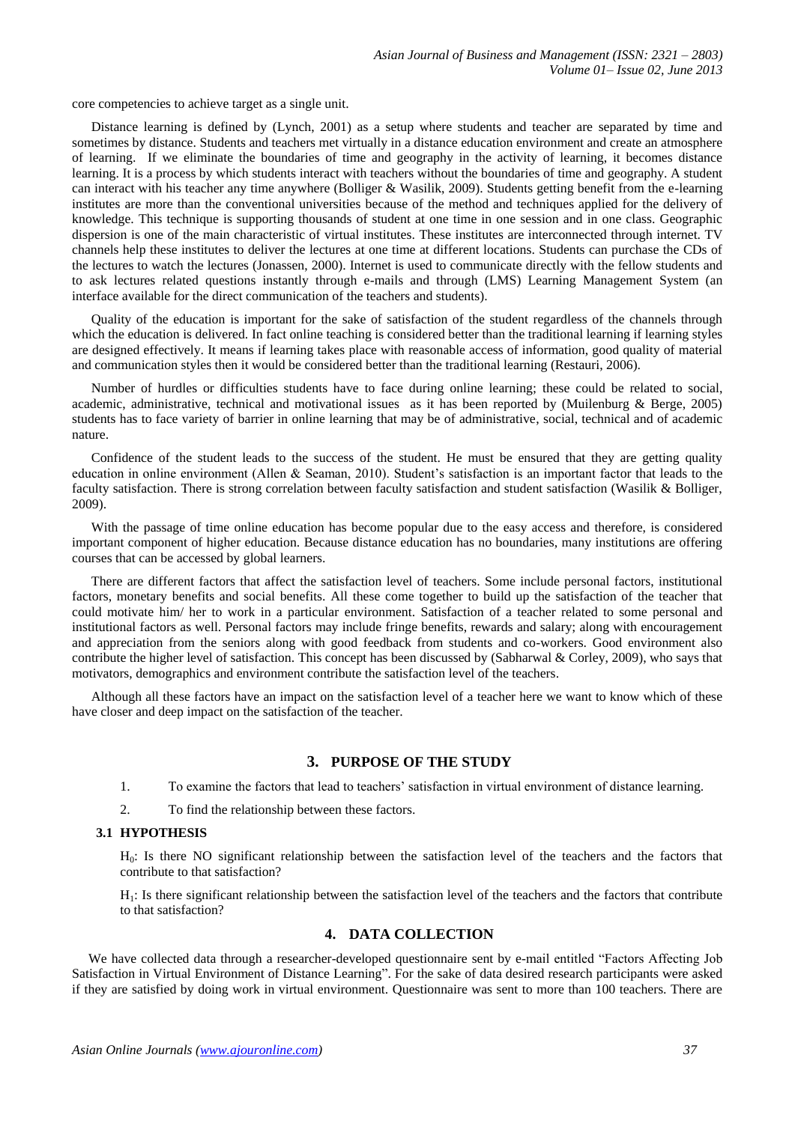core competencies to achieve target as a single unit.

Distance learning is defined by (Lynch, 2001) as a setup where students and teacher are separated by time and sometimes by distance. Students and teachers met virtually in a distance education environment and create an atmosphere of learning. If we eliminate the boundaries of time and geography in the activity of learning, it becomes distance learning. It is a process by which students interact with teachers without the boundaries of time and geography. A student can interact with his teacher any time anywhere (Bolliger & Wasilik, 2009). Students getting benefit from the e-learning institutes are more than the conventional universities because of the method and techniques applied for the delivery of knowledge. This technique is supporting thousands of student at one time in one session and in one class. Geographic dispersion is one of the main characteristic of virtual institutes. These institutes are interconnected through internet. TV channels help these institutes to deliver the lectures at one time at different locations. Students can purchase the CDs of the lectures to watch the lectures (Jonassen, 2000). Internet is used to communicate directly with the fellow students and to ask lectures related questions instantly through e-mails and through (LMS) Learning Management System (an interface available for the direct communication of the teachers and students).

Quality of the education is important for the sake of satisfaction of the student regardless of the channels through which the education is delivered. In fact online teaching is considered better than the traditional learning if learning styles are designed effectively. It means if learning takes place with reasonable access of information, good quality of material and communication styles then it would be considered better than the traditional learning (Restauri, 2006).

Number of hurdles or difficulties students have to face during online learning; these could be related to social, academic, administrative, technical and motivational issues as it has been reported by (Muilenburg & Berge, 2005) students has to face variety of barrier in online learning that may be of administrative, social, technical and of academic nature.

Confidence of the student leads to the success of the student. He must be ensured that they are getting quality education in online environment (Allen & Seaman, 2010). Student's satisfaction is an important factor that leads to the faculty satisfaction. There is strong correlation between faculty satisfaction and student satisfaction (Wasilik & Bolliger, 2009).

With the passage of time online education has become popular due to the easy access and therefore, is considered important component of higher education. Because distance education has no boundaries, many institutions are offering courses that can be accessed by global learners.

There are different factors that affect the satisfaction level of teachers. Some include personal factors, institutional factors, monetary benefits and social benefits. All these come together to build up the satisfaction of the teacher that could motivate him/ her to work in a particular environment. Satisfaction of a teacher related to some personal and institutional factors as well. Personal factors may include fringe benefits, rewards and salary; along with encouragement and appreciation from the seniors along with good feedback from students and co-workers. Good environment also contribute the higher level of satisfaction. This concept has been discussed by (Sabharwal & Corley, 2009), who says that motivators, demographics and environment contribute the satisfaction level of the teachers.

Although all these factors have an impact on the satisfaction level of a teacher here we want to know which of these have closer and deep impact on the satisfaction of the teacher.

#### **3. PURPOSE OF THE STUDY**

1. To examine the factors that lead to teachers' satisfaction in virtual environment of distance learning.

2. To find the relationship between these factors.

#### **3.1 HYPOTHESIS**

H0: Is there NO significant relationship between the satisfaction level of the teachers and the factors that contribute to that satisfaction?

H1: Is there significant relationship between the satisfaction level of the teachers and the factors that contribute to that satisfaction?

#### **4. DATA COLLECTION**

We have collected data through a researcher-developed questionnaire sent by e-mail entitled "Factors Affecting Job Satisfaction in Virtual Environment of Distance Learning". For the sake of data desired research participants were asked if they are satisfied by doing work in virtual environment. Questionnaire was sent to more than 100 teachers. There are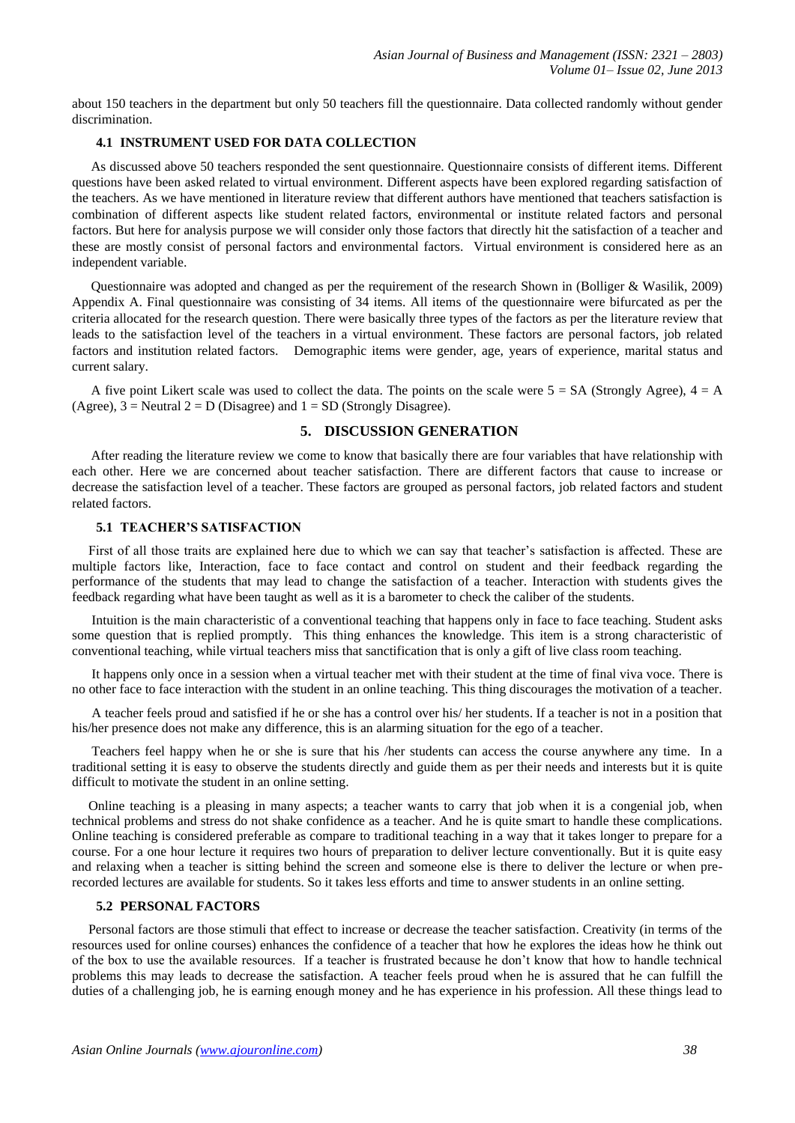about 150 teachers in the department but only 50 teachers fill the questionnaire. Data collected randomly without gender discrimination.

#### **4.1 INSTRUMENT USED FOR DATA COLLECTION**

As discussed above 50 teachers responded the sent questionnaire. Questionnaire consists of different items. Different questions have been asked related to virtual environment. Different aspects have been explored regarding satisfaction of the teachers. As we have mentioned in literature review that different authors have mentioned that teachers satisfaction is combination of different aspects like student related factors, environmental or institute related factors and personal factors. But here for analysis purpose we will consider only those factors that directly hit the satisfaction of a teacher and these are mostly consist of personal factors and environmental factors. Virtual environment is considered here as an independent variable.

Questionnaire was adopted and changed as per the requirement of the research Shown in (Bolliger & Wasilik, 2009) Appendix A. Final questionnaire was consisting of 34 items. All items of the questionnaire were bifurcated as per the criteria allocated for the research question. There were basically three types of the factors as per the literature review that leads to the satisfaction level of the teachers in a virtual environment. These factors are personal factors, job related factors and institution related factors. Demographic items were gender, age, years of experience, marital status and current salary.

A five point Likert scale was used to collect the data. The points on the scale were  $5 = SA$  (Strongly Agree),  $4 = A$ (Agree),  $3 =$  Neutral  $2 = D$  (Disagree) and  $1 =$  SD (Strongly Disagree).

# **5. DISCUSSION GENERATION**

After reading the literature review we come to know that basically there are four variables that have relationship with each other. Here we are concerned about teacher satisfaction. There are different factors that cause to increase or decrease the satisfaction level of a teacher. These factors are grouped as personal factors, job related factors and student related factors.

# **5.1 TEACHER'S SATISFACTION**

First of all those traits are explained here due to which we can say that teacher's satisfaction is affected. These are multiple factors like, Interaction, face to face contact and control on student and their feedback regarding the performance of the students that may lead to change the satisfaction of a teacher. Interaction with students gives the feedback regarding what have been taught as well as it is a barometer to check the caliber of the students.

Intuition is the main characteristic of a conventional teaching that happens only in face to face teaching. Student asks some question that is replied promptly. This thing enhances the knowledge. This item is a strong characteristic of conventional teaching, while virtual teachers miss that sanctification that is only a gift of live class room teaching.

It happens only once in a session when a virtual teacher met with their student at the time of final viva voce. There is no other face to face interaction with the student in an online teaching. This thing discourages the motivation of a teacher.

A teacher feels proud and satisfied if he or she has a control over his/ her students. If a teacher is not in a position that his/her presence does not make any difference, this is an alarming situation for the ego of a teacher.

Teachers feel happy when he or she is sure that his /her students can access the course anywhere any time. In a traditional setting it is easy to observe the students directly and guide them as per their needs and interests but it is quite difficult to motivate the student in an online setting.

Online teaching is a pleasing in many aspects; a teacher wants to carry that job when it is a congenial job, when technical problems and stress do not shake confidence as a teacher. And he is quite smart to handle these complications. Online teaching is considered preferable as compare to traditional teaching in a way that it takes longer to prepare for a course. For a one hour lecture it requires two hours of preparation to deliver lecture conventionally. But it is quite easy and relaxing when a teacher is sitting behind the screen and someone else is there to deliver the lecture or when prerecorded lectures are available for students. So it takes less efforts and time to answer students in an online setting.

#### **5.2 PERSONAL FACTORS**

Personal factors are those stimuli that effect to increase or decrease the teacher satisfaction. Creativity (in terms of the resources used for online courses) enhances the confidence of a teacher that how he explores the ideas how he think out of the box to use the available resources. If a teacher is frustrated because he don't know that how to handle technical problems this may leads to decrease the satisfaction. A teacher feels proud when he is assured that he can fulfill the duties of a challenging job, he is earning enough money and he has experience in his profession. All these things lead to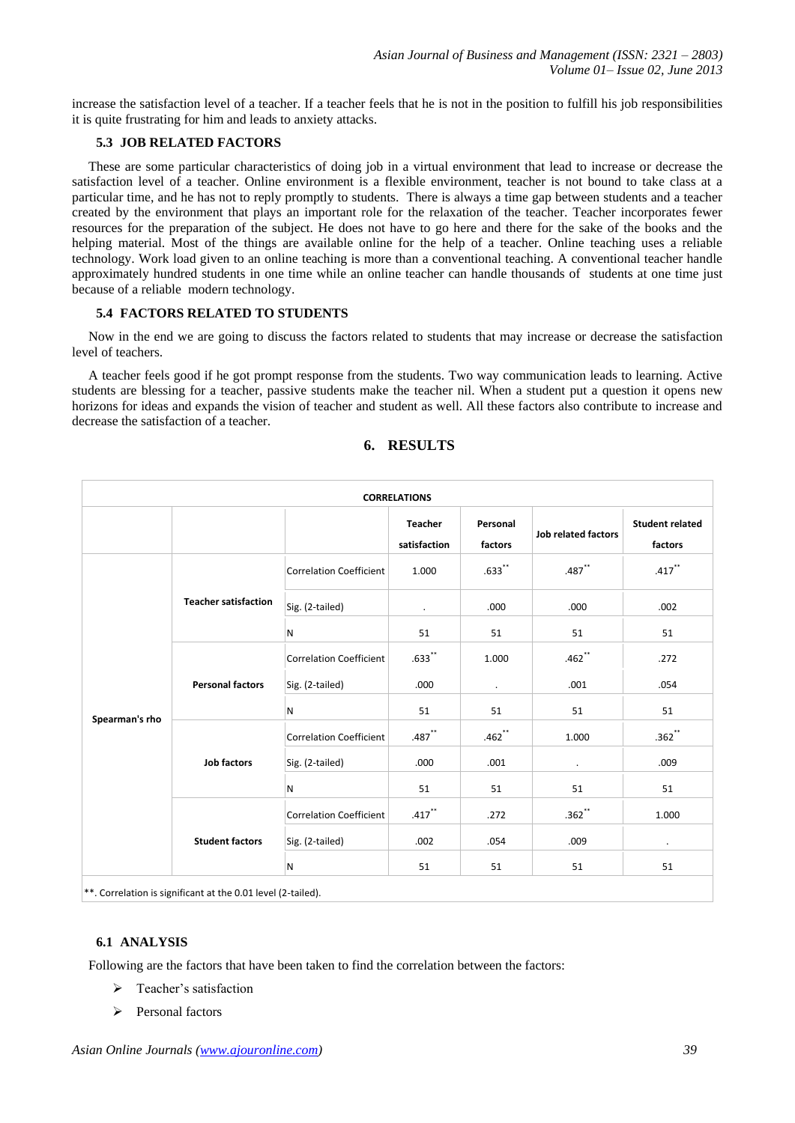increase the satisfaction level of a teacher. If a teacher feels that he is not in the position to fulfill his job responsibilities it is quite frustrating for him and leads to anxiety attacks.

# **5.3 JOB RELATED FACTORS**

These are some particular characteristics of doing job in a virtual environment that lead to increase or decrease the satisfaction level of a teacher. Online environment is a flexible environment, teacher is not bound to take class at a particular time, and he has not to reply promptly to students. There is always a time gap between students and a teacher created by the environment that plays an important role for the relaxation of the teacher. Teacher incorporates fewer resources for the preparation of the subject. He does not have to go here and there for the sake of the books and the helping material. Most of the things are available online for the help of a teacher. Online teaching uses a reliable technology. Work load given to an online teaching is more than a conventional teaching. A conventional teacher handle approximately hundred students in one time while an online teacher can handle thousands of students at one time just because of a reliable modern technology.

### **5.4 FACTORS RELATED TO STUDENTS**

Now in the end we are going to discuss the factors related to students that may increase or decrease the satisfaction level of teachers.

A teacher feels good if he got prompt response from the students. Two way communication leads to learning. Active students are blessing for a teacher, passive students make the teacher nil. When a student put a question it opens new horizons for ideas and expands the vision of teacher and student as well. All these factors also contribute to increase and decrease the satisfaction of a teacher.

| <b>CORRELATIONS</b> |                             |                                |                                |                     |                            |                                   |  |  |
|---------------------|-----------------------------|--------------------------------|--------------------------------|---------------------|----------------------------|-----------------------------------|--|--|
|                     |                             |                                | <b>Teacher</b><br>satisfaction | Personal<br>factors | <b>Job related factors</b> | <b>Student related</b><br>factors |  |  |
|                     | <b>Teacher satisfaction</b> | <b>Correlation Coefficient</b> | 1.000                          | $.633$ **           | $.487$ **                  | $.417$ **                         |  |  |
|                     |                             | Sig. (2-tailed)                | $\blacksquare$                 | .000                | .000                       | .002                              |  |  |
|                     |                             | N                              | 51                             | 51                  | 51                         | 51                                |  |  |
|                     | <b>Personal factors</b>     | <b>Correlation Coefficient</b> | $.633$ **                      | 1.000               | $.462$ **                  | .272                              |  |  |
|                     |                             | Sig. (2-tailed)                | .000                           | $\blacksquare$      | .001                       | .054                              |  |  |
| Spearman's rho      |                             | N                              | 51                             | 51                  | 51                         | 51                                |  |  |
|                     | <b>Job factors</b>          | <b>Correlation Coefficient</b> | $.487$ **                      | $.462$ **           | 1.000                      | $.362$ **                         |  |  |
|                     |                             | Sig. (2-tailed)                | .000                           | .001                | $\bullet$                  | .009                              |  |  |
|                     |                             | N                              | 51                             | 51                  | 51                         | 51                                |  |  |
|                     | <b>Student factors</b>      | <b>Correlation Coefficient</b> | $.417$ **                      | .272                | $.362$ **                  | 1.000                             |  |  |
|                     |                             | Sig. (2-tailed)                | .002                           | .054                | .009                       | $\ddot{\phantom{0}}$              |  |  |
|                     |                             | N                              | 51                             | 51                  | 51                         | 51                                |  |  |

### **6. RESULTS**

\*\*. Correlation is significant at the 0.01 level (2-tailed).

# **6.1 ANALYSIS**

Following are the factors that have been taken to find the correlation between the factors:

- Teacher's satisfaction
- $\triangleright$  Personal factors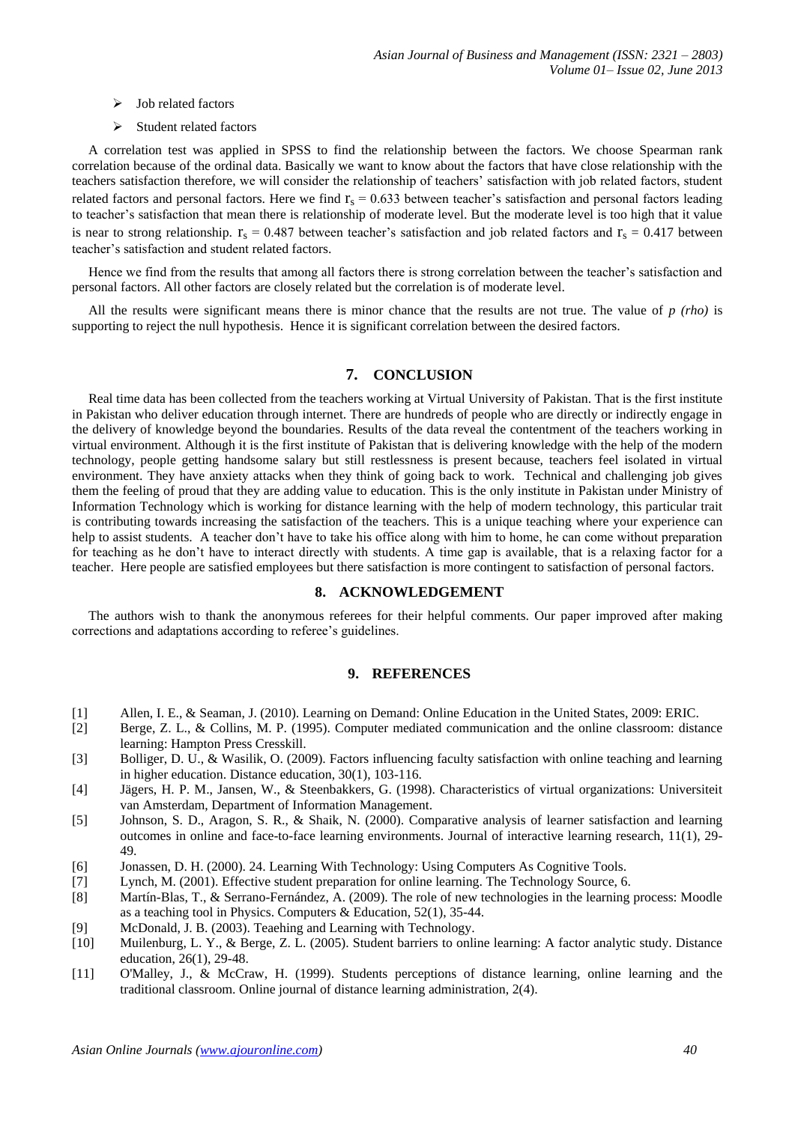- $\triangleright$  Job related factors
- $\triangleright$  Student related factors

A correlation test was applied in SPSS to find the relationship between the factors. We choose Spearman rank correlation because of the ordinal data. Basically we want to know about the factors that have close relationship with the teachers satisfaction therefore, we will consider the relationship of teachers' satisfaction with job related factors, student related factors and personal factors. Here we find  $r_s = 0.633$  between teacher's satisfaction and personal factors leading to teacher's satisfaction that mean there is relationship of moderate level. But the moderate level is too high that it value is near to strong relationship.  $r_s = 0.487$  between teacher's satisfaction and job related factors and  $r_s = 0.417$  between teacher's satisfaction and student related factors.

Hence we find from the results that among all factors there is strong correlation between the teacher's satisfaction and personal factors. All other factors are closely related but the correlation is of moderate level.

All the results were significant means there is minor chance that the results are not true. The value of *p (rho)* is supporting to reject the null hypothesis. Hence it is significant correlation between the desired factors.

# **7. CONCLUSION**

Real time data has been collected from the teachers working at Virtual University of Pakistan. That is the first institute in Pakistan who deliver education through internet. There are hundreds of people who are directly or indirectly engage in the delivery of knowledge beyond the boundaries. Results of the data reveal the contentment of the teachers working in virtual environment. Although it is the first institute of Pakistan that is delivering knowledge with the help of the modern technology, people getting handsome salary but still restlessness is present because, teachers feel isolated in virtual environment. They have anxiety attacks when they think of going back to work. Technical and challenging job gives them the feeling of proud that they are adding value to education. This is the only institute in Pakistan under Ministry of Information Technology which is working for distance learning with the help of modern technology, this particular trait is contributing towards increasing the satisfaction of the teachers. This is a unique teaching where your experience can help to assist students. A teacher don't have to take his office along with him to home, he can come without preparation for teaching as he don't have to interact directly with students. A time gap is available, that is a relaxing factor for a teacher. Here people are satisfied employees but there satisfaction is more contingent to satisfaction of personal factors.

# **8. ACKNOWLEDGEMENT**

The authors wish to thank the anonymous referees for their helpful comments. Our paper improved after making corrections and adaptations according to referee's guidelines.

#### **9. REFERENCES**

- [1] Allen, I. E., & Seaman, J. (2010). Learning on Demand: Online Education in the United States, 2009: ERIC.
- [2] Berge, Z. L., & Collins, M. P. (1995). Computer mediated communication and the online classroom: distance learning: Hampton Press Cresskill.
- [3] Bolliger, D. U., & Wasilik, O. (2009). Factors influencing faculty satisfaction with online teaching and learning in higher education. Distance education, 30(1), 103-116.
- [4] Jägers, H. P. M., Jansen, W., & Steenbakkers, G. (1998). Characteristics of virtual organizations: Universiteit van Amsterdam, Department of Information Management.
- [5] Johnson, S. D., Aragon, S. R., & Shaik, N. (2000). Comparative analysis of learner satisfaction and learning outcomes in online and face-to-face learning environments. Journal of interactive learning research, 11(1), 29- 49.
- [6] Jonassen, D. H. (2000). 24. Learning With Technology: Using Computers As Cognitive Tools.
- [7] Lynch, M. (2001). Effective student preparation for online learning. The Technology Source, 6.
- [8] Martín-Blas, T., & Serrano-Fernández, A. (2009). The role of new technologies in the learning process: Moodle as a teaching tool in Physics. Computers & Education, 52(1), 35-44.
- [9] McDonald, J. B. (2003). Teaehing and Learning with Technology.
- [10] Muilenburg, L. Y., & Berge, Z. L. (2005). Student barriers to online learning: A factor analytic study. Distance education, 26(1), 29-48.
- [11] O'Malley, J., & McCraw, H. (1999). Students perceptions of distance learning, online learning and the traditional classroom. Online journal of distance learning administration, 2(4).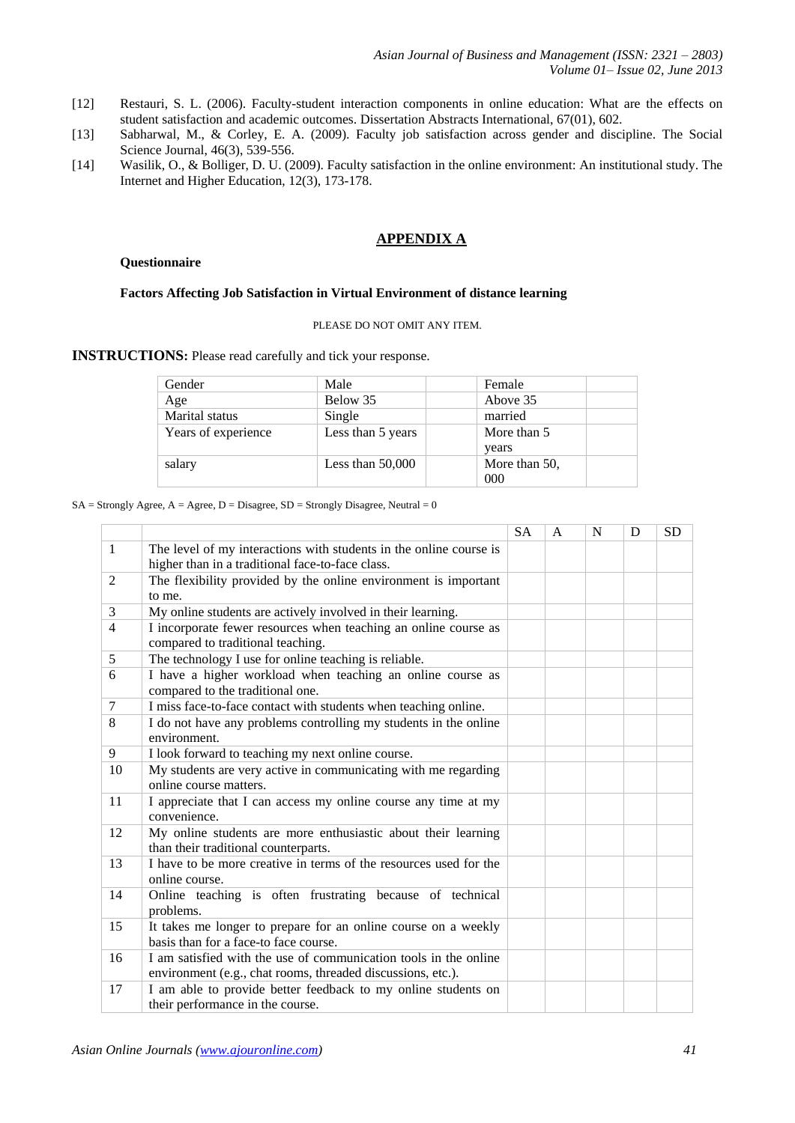- [12] Restauri, S. L. (2006). Faculty-student interaction components in online education: What are the effects on student satisfaction and academic outcomes. Dissertation Abstracts International, 67(01), 602.
- [13] Sabharwal, M., & Corley, E. A. (2009). Faculty job satisfaction across gender and discipline. The Social Science Journal, 46(3), 539-556.
- [14] Wasilik, O., & Bolliger, D. U. (2009). Faculty satisfaction in the online environment: An institutional study. The Internet and Higher Education, 12(3), 173-178.

# **APPENDIX A**

#### **Questionnaire**

#### **Factors Affecting Job Satisfaction in Virtual Environment of distance learning**

#### PLEASE DO NOT OMIT ANY ITEM.

**INSTRUCTIONS:** Please read carefully and tick your response.

| Gender              | Male               | Female        |
|---------------------|--------------------|---------------|
| Age                 | Below 35           | Above 35      |
| Marital status      | Single             | married       |
| Years of experience | Less than 5 years  | More than 5   |
|                     |                    | years         |
| salary              | Less than $50,000$ | More than 50, |
|                     |                    | 000           |

#### $SA =$  Strongly Agree,  $A =$  Agree,  $D =$  Disagree,  $SD =$  Strongly Disagree, Neutral = 0

|                |                                                                                                                                 | <b>SA</b> | A | N | D | <b>SD</b> |
|----------------|---------------------------------------------------------------------------------------------------------------------------------|-----------|---|---|---|-----------|
| -1             | The level of my interactions with students in the online course is                                                              |           |   |   |   |           |
|                | higher than in a traditional face-to-face class.                                                                                |           |   |   |   |           |
| 2              | The flexibility provided by the online environment is important                                                                 |           |   |   |   |           |
|                | to me.                                                                                                                          |           |   |   |   |           |
| 3              | My online students are actively involved in their learning.                                                                     |           |   |   |   |           |
| $\overline{4}$ | I incorporate fewer resources when teaching an online course as<br>compared to traditional teaching.                            |           |   |   |   |           |
| 5              | The technology I use for online teaching is reliable.                                                                           |           |   |   |   |           |
| 6              | I have a higher workload when teaching an online course as<br>compared to the traditional one.                                  |           |   |   |   |           |
| $\tau$         | I miss face-to-face contact with students when teaching online.                                                                 |           |   |   |   |           |
| 8              | I do not have any problems controlling my students in the online                                                                |           |   |   |   |           |
|                | environment.                                                                                                                    |           |   |   |   |           |
| 9              | I look forward to teaching my next online course.                                                                               |           |   |   |   |           |
| 10             | My students are very active in communicating with me regarding<br>online course matters.                                        |           |   |   |   |           |
| 11             | I appreciate that I can access my online course any time at my<br>convenience.                                                  |           |   |   |   |           |
| 12             | My online students are more enthusiastic about their learning<br>than their traditional counterparts.                           |           |   |   |   |           |
| 13             | I have to be more creative in terms of the resources used for the<br>online course.                                             |           |   |   |   |           |
| 14             | Online teaching is often frustrating because of technical<br>problems.                                                          |           |   |   |   |           |
| 15             | It takes me longer to prepare for an online course on a weekly<br>basis than for a face-to face course.                         |           |   |   |   |           |
| 16             | I am satisfied with the use of communication tools in the online<br>environment (e.g., chat rooms, threaded discussions, etc.). |           |   |   |   |           |
| 17             | I am able to provide better feedback to my online students on<br>their performance in the course.                               |           |   |   |   |           |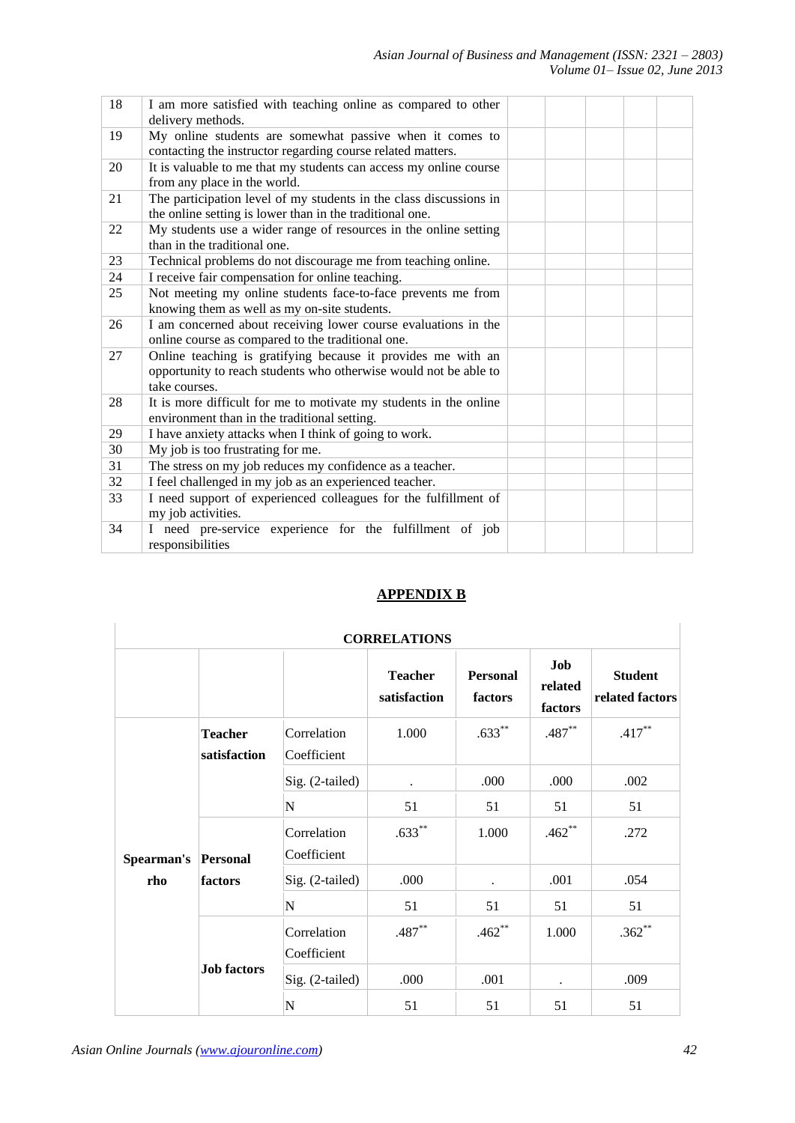| 18 | I am more satisfied with teaching online as compared to other<br>delivery methods.                                                                |  |  |  |
|----|---------------------------------------------------------------------------------------------------------------------------------------------------|--|--|--|
| 19 | My online students are somewhat passive when it comes to<br>contacting the instructor regarding course related matters.                           |  |  |  |
| 20 | It is valuable to me that my students can access my online course<br>from any place in the world.                                                 |  |  |  |
| 21 | The participation level of my students in the class discussions in<br>the online setting is lower than in the traditional one.                    |  |  |  |
| 22 | My students use a wider range of resources in the online setting<br>than in the traditional one.                                                  |  |  |  |
| 23 | Technical problems do not discourage me from teaching online.                                                                                     |  |  |  |
| 24 | I receive fair compensation for online teaching.                                                                                                  |  |  |  |
| 25 | Not meeting my online students face-to-face prevents me from<br>knowing them as well as my on-site students.                                      |  |  |  |
| 26 | I am concerned about receiving lower course evaluations in the<br>online course as compared to the traditional one.                               |  |  |  |
| 27 | Online teaching is gratifying because it provides me with an<br>opportunity to reach students who otherwise would not be able to<br>take courses. |  |  |  |
| 28 | It is more difficult for me to motivate my students in the online<br>environment than in the traditional setting.                                 |  |  |  |
| 29 | I have anxiety attacks when I think of going to work.                                                                                             |  |  |  |
| 30 | My job is too frustrating for me.                                                                                                                 |  |  |  |
| 31 | The stress on my job reduces my confidence as a teacher.                                                                                          |  |  |  |
| 32 | I feel challenged in my job as an experienced teacher.                                                                                            |  |  |  |
| 33 | I need support of experienced colleagues for the fulfillment of<br>my job activities.                                                             |  |  |  |
| 34 | I need pre-service experience for the fulfillment of job<br>responsibilities                                                                      |  |  |  |

# **APPENDIX B**

| <b>CORRELATIONS</b> |                                |                            |                                |                            |                           |                                   |  |  |
|---------------------|--------------------------------|----------------------------|--------------------------------|----------------------------|---------------------------|-----------------------------------|--|--|
|                     |                                |                            | <b>Teacher</b><br>satisfaction | <b>Personal</b><br>factors | Job<br>related<br>factors | <b>Student</b><br>related factors |  |  |
|                     | <b>Teacher</b><br>satisfaction | Correlation<br>Coefficient | 1.000                          | $.633***$                  | $.487**$                  | $.417***$                         |  |  |
|                     |                                | Sig. (2-tailed)            |                                | .000                       | .000                      | .002                              |  |  |
|                     |                                | $\mathbf N$                | 51                             | 51                         | 51                        | 51                                |  |  |
| Spearman's          | <b>Personal</b><br>factors     | Correlation<br>Coefficient | $.633**$                       | 1.000                      | $.462**$                  | .272                              |  |  |
| rho                 |                                | Sig. (2-tailed)            | .000                           |                            | .001                      | .054                              |  |  |
|                     |                                | N                          | 51                             | 51                         | 51                        | 51                                |  |  |
|                     | <b>Job factors</b>             | Correlation<br>Coefficient | $.487**$                       | $.462**$                   | 1.000                     | $.362**$                          |  |  |
|                     |                                | Sig. (2-tailed)            | .000                           | .001                       |                           | .009                              |  |  |
|                     |                                | N                          | 51                             | 51                         | 51                        | 51                                |  |  |